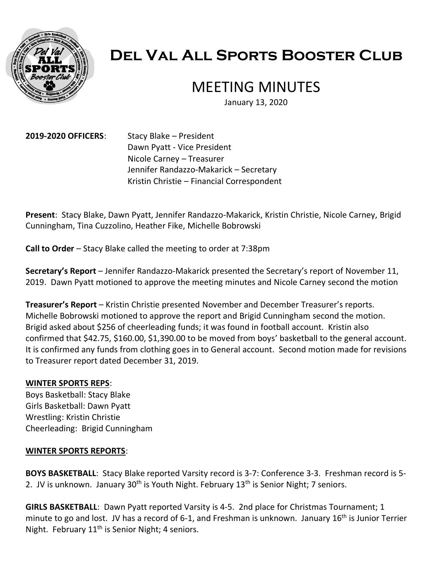

# **Del Val All Sports Booster Club**

## MEETING MINUTES

January 13, 2020

**2019-2020 OFFICERS**: Stacy Blake – President Dawn Pyatt - Vice President Nicole Carney – Treasurer Jennifer Randazzo-Makarick – Secretary Kristin Christie – Financial Correspondent

**Present**: Stacy Blake, Dawn Pyatt, Jennifer Randazzo-Makarick, Kristin Christie, Nicole Carney, Brigid Cunningham, Tina Cuzzolino, Heather Fike, Michelle Bobrowski

**Call to Order** – Stacy Blake called the meeting to order at 7:38pm

**Secretary's Report** – Jennifer Randazzo-Makarick presented the Secretary's report of November 11, 2019. Dawn Pyatt motioned to approve the meeting minutes and Nicole Carney second the motion

**Treasurer's Report** – Kristin Christie presented November and December Treasurer's reports. Michelle Bobrowski motioned to approve the report and Brigid Cunningham second the motion. Brigid asked about \$256 of cheerleading funds; it was found in football account. Kristin also confirmed that \$42.75, \$160.00, \$1,390.00 to be moved from boys' basketball to the general account. It is confirmed any funds from clothing goes in to General account. Second motion made for revisions to Treasurer report dated December 31, 2019.

#### **WINTER SPORTS REPS**:

Boys Basketball: Stacy Blake Girls Basketball: Dawn Pyatt Wrestling: Kristin Christie Cheerleading: Brigid Cunningham

#### **WINTER SPORTS REPORTS**:

**BOYS BASKETBALL**: Stacy Blake reported Varsity record is 3-7: Conference 3-3. Freshman record is 5- 2. JV is unknown. January  $30<sup>th</sup>$  is Youth Night. February  $13<sup>th</sup>$  is Senior Night; 7 seniors.

**GIRLS BASKETBALL**: Dawn Pyatt reported Varsity is 4-5. 2nd place for Christmas Tournament; 1 minute to go and lost. JV has a record of 6-1, and Freshman is unknown. January 16<sup>th</sup> is Junior Terrier Night. February 11<sup>th</sup> is Senior Night; 4 seniors.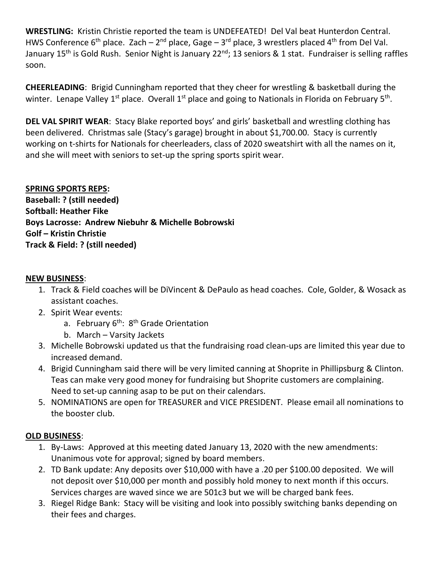**WRESTLING:** Kristin Christie reported the team is UNDEFEATED! Del Val beat Hunterdon Central. HWS Conference 6<sup>th</sup> place. Zach – 2<sup>nd</sup> place, Gage – 3<sup>rd</sup> place, 3 wrestlers placed 4<sup>th</sup> from Del Val. January 15<sup>th</sup> is Gold Rush. Senior Night is January 22<sup>nd</sup>; 13 seniors & 1 stat. Fundraiser is selling raffles soon.

**CHEERLEADING**: Brigid Cunningham reported that they cheer for wrestling & basketball during the winter. Lenape Valley 1<sup>st</sup> place. Overall 1<sup>st</sup> place and going to Nationals in Florida on February 5<sup>th</sup>.

**DEL VAL SPIRIT WEAR**: Stacy Blake reported boys' and girls' basketball and wrestling clothing has been delivered. Christmas sale (Stacy's garage) brought in about \$1,700.00. Stacy is currently working on t-shirts for Nationals for cheerleaders, class of 2020 sweatshirt with all the names on it, and she will meet with seniors to set-up the spring sports spirit wear.

### **SPRING SPORTS REPS:**

**Baseball: ? (still needed) Softball: Heather Fike Boys Lacrosse: Andrew Niebuhr & Michelle Bobrowski Golf – Kristin Christie Track & Field: ? (still needed)**

#### **NEW BUSINESS**:

- 1. Track & Field coaches will be DiVincent & DePaulo as head coaches. Cole, Golder, & Wosack as assistant coaches.
- 2. Spirit Wear events:
	- a. February 6<sup>th</sup>: 8<sup>th</sup> Grade Orientation
	- b. March Varsity Jackets
- 3. Michelle Bobrowski updated us that the fundraising road clean-ups are limited this year due to increased demand.
- 4. Brigid Cunningham said there will be very limited canning at Shoprite in Phillipsburg & Clinton. Teas can make very good money for fundraising but Shoprite customers are complaining. Need to set-up canning asap to be put on their calendars.
- 5. NOMINATIONS are open for TREASURER and VICE PRESIDENT. Please email all nominations to the booster club.

#### **OLD BUSINESS**:

- 1. By-Laws: Approved at this meeting dated January 13, 2020 with the new amendments: Unanimous vote for approval; signed by board members.
- 2. TD Bank update: Any deposits over \$10,000 with have a .20 per \$100.00 deposited. We will not deposit over \$10,000 per month and possibly hold money to next month if this occurs. Services charges are waved since we are 501c3 but we will be charged bank fees.
- 3. Riegel Ridge Bank: Stacy will be visiting and look into possibly switching banks depending on their fees and charges.